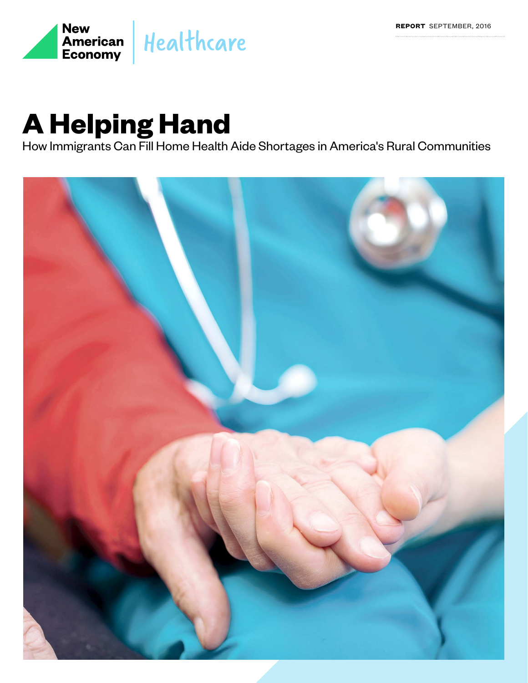

## **A Helping Hand**

How Immigrants Can Fill Home Health Aide Shortages in America's Rural Communities

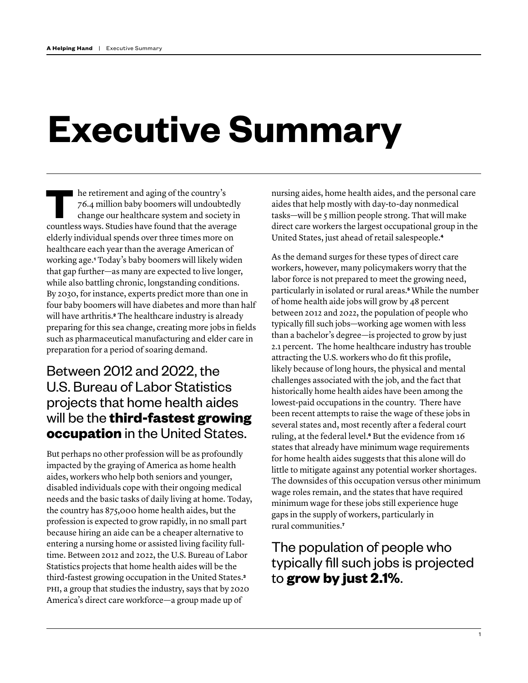# **Executive Summary**

**THE RET RET RET AND THE RET RET THE RET RET THE RET THE RET RET PAID ISLAM CHAPTER OF THE RET PAID ISLAM CONTROLLER SUPPLY AND A SUPPLY AND A SUPPLY AND A SUPPLY AND SUPPLY AND SUPPLY AS A SUPPLY AND SUPPLY ASSEMBLY A SUP** 76.4 million baby boomers will undoubtedly change our healthcare system and society in countless ways. Studies have found that the average elderly individual spends over three times more on healthcare each year than the average American of working age.**[1](#page-17-0)** Today's baby boomers will likely widen that gap further—as many are expected to live longer, while also battling chronic, longstanding conditions. By 2030, for instance, experts predict more than one in four baby boomers will have diabetes and more than half will have arthritis.**[2](#page-17-1)** The healthcare industry is already preparing for this sea change, creating more jobs in fields such as pharmaceutical manufacturing and elder care in preparation for a period of soaring demand.

## Between 2012 and 2022, the U.S. Bureau of Labor Statistics projects that home health aides will be the **third-fastest growing occupation** in the United States.

But perhaps no other profession will be as profoundly impacted by the graying of America as home health aides, workers who help both seniors and younger, disabled individuals cope with their ongoing medical needs and the basic tasks of daily living at home. Today, the country has 875,000 home health aides, but the profession is expected to grow rapidly, in no small part because hiring an aide can be a cheaper alternative to entering a nursing home or assisted living facility fulltime. Between 2012 and 2022, the U.S. Bureau of Labor Statistics projects that home health aides will be the third-fastest growing occupation in the United States.**[3](#page-17-2)** PHI, a group that studies the industry, says that by 2020 America's direct care workforce—a group made up of

nursing aides, home health aides, and the personal care aides that help mostly with day-to-day nonmedical tasks—will be 5 million people strong. That will make direct care workers the largest occupational group in the United States, just ahead of retail salespeople.**[4](#page-17-3)**

As the demand surges for these types of direct care workers, however, many policymakers worry that the labor force is not prepared to meet the growing need, particularly in isolated or rural areas.**[5](#page-17-4)** While the number of home health aide jobs will grow by 48 percent between 2012 and 2022, the population of people who typically fill such jobs—working age women with less than a bachelor's degree—is projected to grow by just 2.1 percent. The home healthcare industry has trouble attracting the U.S. workers who do fit this profile, likely because of long hours, the physical and mental challenges associated with the job, and the fact that historically home health aides have been among the lowest-paid occupations in the country. There have been recent attempts to raise the wage of these jobs in several states and, most recently after a federal court ruling, at the federal level.**[6](#page-17-5)** But the evidence from 16 states that already have minimum wage requirements for home health aides suggests that this alone will do little to mitigate against any potential worker shortages. The downsides of this occupation versus other minimum wage roles remain, and the states that have required minimum wage for these jobs still experience huge gaps in the supply of workers, particularly in rural communities.**[7](#page-17-6)**

## The population of people who typically fill such jobs is projected to **grow by just 2.1%**.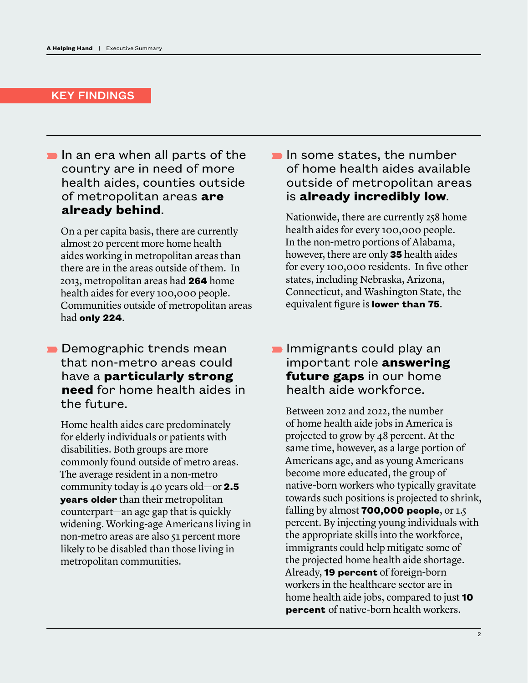#### KEY FINDINGS

 $\blacksquare$  In an era when all parts of the country are in need of more health aides, counties outside of metropolitan areas **are already behind**.

 On a per capita basis, there are currently almost 20 percent more home health aides working in metropolitan areas than there are in the areas outside of them. In 2013, metropolitan areas had **264** home health aides for every 100,000 people. Communities outside of metropolitan areas had **only 224**.

 $\blacksquare$  Demographic trends mean that non-metro areas could have a **particularly strong need** for home health aides in the future.

 Home health aides care predominately for elderly individuals or patients with disabilities. Both groups are more commonly found outside of metro areas. The average resident in a non-metro community today is 40 years old—or **2.5 years older** than their metropolitan counterpart—an age gap that is quickly widening. Working-age Americans living in non-metro areas are also 51 percent more likely to be disabled than those living in metropolitan communities.

 $\blacksquare$  In some states, the number of home health aides available outside of metropolitan areas is **already incredibly low**.

 Nationwide, there are currently 258 home health aides for every 100,000 people. In the non-metro portions of Alabama, however, there are only **35** health aides for every 100,000 residents. In five other states, including Nebraska, Arizona, Connecticut, and Washington State, the equivalent figure is **lower than 75**.

### $\blacksquare$  Immigrants could play an important role **answering future gaps** in our home health aide workforce.

 Between 2012 and 2022, the number of home health aide jobs in America is projected to grow by 48 percent. At the same time, however, as a large portion of Americans age, and as young Americans become more educated, the group of native-born workers who typically gravitate towards such positions is projected to shrink, falling by almost **700,000 people**, or 1.5 percent. By injecting young individuals with the appropriate skills into the workforce, immigrants could help mitigate some of the projected home health aide shortage. Already, **19 percent** of foreign-born workers in the healthcare sector are in home health aide jobs, compared to just **10 percent** of native-born health workers.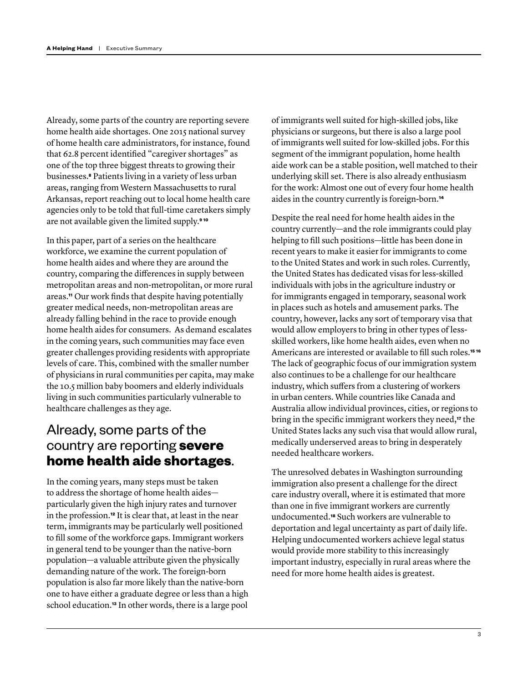Already, some parts of the country are reporting severe home health aide shortages. One 2015 national survey of home health care administrators, for instance, found that 62.8 percent identified "caregiver shortages" as one of the top three biggest threats to growing their businesses.**[8](#page-17-7)** Patients living in a variety of less urban areas, ranging from Western Massachusetts to rural Arkansas, report reaching out to local home health care agencies only to be told that full-time caretakers simply are not available given the limited supply.**[9](#page-17-8) [10](#page-17-9)**

In this paper, part of a series on the healthcare workforce, we examine the current population of home health aides and where they are around the country, comparing the differences in supply between metropolitan areas and non-metropolitan, or more rural areas.**[11](#page-17-10)** Our work finds that despite having potentially greater medical needs, non-metropolitan areas are already falling behind in the race to provide enough home health aides for consumers. As demand escalates in the coming years, such communities may face even greater challenges providing residents with appropriate levels of care. This, combined with the smaller number of physicians in rural communities per capita, may make the 10.5 million baby boomers and elderly individuals living in such communities particularly vulnerable to healthcare challenges as they age.

## Already, some parts of the country are reporting **severe home health aide shortages**.

In the coming years, many steps must be taken to address the shortage of home health aides particularly given the high injury rates and turnover in the profession.**[12](#page-17-11)** It is clear that, at least in the near term, immigrants may be particularly well positioned to fill some of the workforce gaps. Immigrant workers in general tend to be younger than the native-born population—a valuable attribute given the physically demanding nature of the work. The foreign-born population is also far more likely than the native-born one to have either a graduate degree or less than a high school education.**[13](#page-17-12)** In other words, there is a large pool

of immigrants well suited for high-skilled jobs, like physicians or surgeons, but there is also a large pool of immigrants well suited for low-skilled jobs. For this segment of the immigrant population, home health aide work can be a stable position, well matched to their underlying skill set. There is also already enthusiasm for the work: Almost one out of every four home health aides in the country currently is foreign-born.**[14](#page-17-13)**

Despite the real need for home health aides in the country currently—and the role immigrants could play helping to fill such positions—little has been done in recent years to make it easier for immigrants to come to the United States and work in such roles. Currently, the United States has dedicated visas for less-skilled individuals with jobs in the agriculture industry or for immigrants engaged in temporary, seasonal work in places such as hotels and amusement parks. The country, however, lacks any sort of temporary visa that would allow employers to bring in other types of lessskilled workers, like home health aides, even when no Americans are interested or available to fill such roles.**[15](#page-17-14) [16](#page-17-15)** The lack of geographic focus of our immigration system also continues to be a challenge for our healthcare industry, which suffers from a clustering of workers in urban centers. While countries like Canada and Australia allow individual provinces, cities, or regions to bring in the specific immigrant workers they need,**[17](#page-17-16)** the United States lacks any such visa that would allow rural, medically underserved areas to bring in desperately needed healthcare workers.

The unresolved debates in Washington surrounding immigration also present a challenge for the direct care industry overall, where it is estimated that more than one in five immigrant workers are currently undocumented.**[18](#page-17-17)** Such workers are vulnerable to deportation and legal uncertainty as part of daily life. Helping undocumented workers achieve legal status would provide more stability to this increasingly important industry, especially in rural areas where the need for more home health aides is greatest.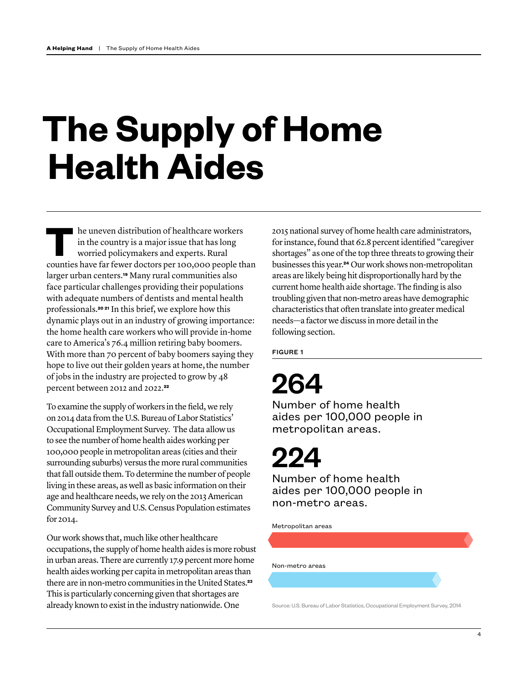# **The Supply of Home Health Aides**

**THE UNITED STATES IN THE UNITED STATES IN THE USE OF THE USE OF THE USE OF THE USE OF THE USE OF THE CONTROLLATE CONTROLLATE CONTROLLATE CONTROLLATE CONTROLLATE CONTROLLATE CONTROLLATE CONTROLLATE CONTROLLATE CONTROLLATE** in the country is a major issue that has long worried policymakers and experts. Rural counties have far fewer doctors per 100,000 people than larger urban centers.**[19](#page-18-0)** Many rural communities also face particular challenges providing their populations with adequate numbers of dentists and mental health professionals.**[20](#page-18-1) [21](#page-18-2)** In this brief, we explore how this dynamic plays out in an industry of growing importance: the home health care workers who will provide in-home care to America's 76.4 million retiring baby boomers. With more than 70 percent of baby boomers saying they hope to live out their golden years at home, the number of jobs in the industry are projected to grow by 48 percent between 2012 and 2022.**[22](#page-18-3)**

To examine the supply of workers in the field, we rely on 2014 data from the U.S. Bureau of Labor Statistics' Occupational Employment Survey. The data allow us to see the number of home health aides working per 100,000 people in metropolitan areas (cities and their surrounding suburbs) versus the more rural communities that fall outside them. To determine the number of people living in these areas, as well as basic information on their age and healthcare needs, we rely on the 2013 American Community Survey and U.S. Census Population estimates for 2014.

Our work shows that, much like other healthcare occupations, the supply of home health aides is more robust in urban areas. There are currently 17.9 percent more home health aides working per capita in metropolitan areas than there are in non-metro communities in the United States.**[23](#page-18-4)** This is particularly concerning given that shortages are already known to exist in the industry nationwide. One

2015 national survey of home health care administrators, for instance, found that 62.8 percent identified "caregiver shortages" as one of the top three threats to growing their businesses this year.**[24](#page-18-5)** Our work shows non-metropolitan areas are likely being hit disproportionally hard by the current home health aide shortage. The finding is also troubling given that non-metro areas have demographic characteristics that often translate into greater medical needs—a factor we discuss in more detail in the following section.

FIGURE 1

## 264

Number of home health aides per 100,000 people in metropolitan areas.

## 224

Number of home health aides per 100,000 people in non-metro areas.

Metropolitan areas

Non-metro areas

Source: U.S. Bureau of Labor Statistics, Occupational Employment Survey, 2014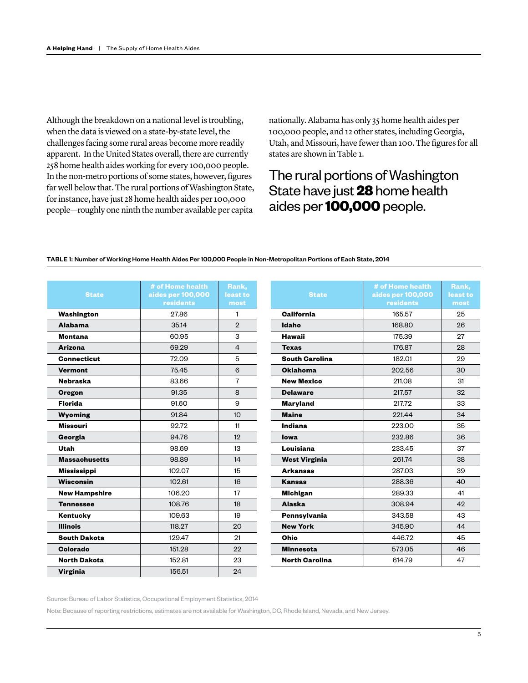Although the breakdown on a national level is troubling, when the data is viewed on a state-by-state level, the challenges facing some rural areas become more readily apparent. In the United States overall, there are currently 258 home health aides working for every 100,000 people. In the non-metro portions of some states, however, figures far well below that. The rural portions of Washington State, for instance, have just 28 home health aides per 100,000 people—roughly one ninth the number available per capita

nationally. Alabama has only 35 home health aides per 100,000 people, and 12 other states, including Georgia, Utah, and Missouri, have fewer than 100. The figures for all states are shown in Table 1.

## The rural portions of Washington State have just **28** home health aides per **100,000** people.

#### TABLE 1: Number of Working Home Health Aides Per 100,000 People in Non-Metropolitan Portions of Each State, 2014

| <b>State</b>         | # of Home health<br>aides per 100,000<br><b>residents</b> | Rank,<br>least to<br>most |
|----------------------|-----------------------------------------------------------|---------------------------|
| Washington           | 27.86                                                     | 1                         |
| <b>Alabama</b>       | 35.14                                                     | $\overline{2}$            |
| <b>Montana</b>       | 60.95                                                     | 3                         |
| <b>Arizona</b>       | 69.29                                                     | 4                         |
| <b>Connecticut</b>   | 72.09                                                     | 5                         |
| <b>Vermont</b>       | 75.45                                                     | 6                         |
| <b>Nebraska</b>      | 83.66                                                     | 7                         |
| <b>Oregon</b>        | 91.35                                                     | 8                         |
| <b>Florida</b>       | 91.60                                                     | 9                         |
| <b>Wyoming</b>       | 91.84                                                     | 10                        |
| <b>Missouri</b>      | 92.72                                                     | 11                        |
| Georgia              | 94.76                                                     | 12                        |
| Utah                 | 98.69                                                     | 13                        |
| <b>Massachusetts</b> | 98.89                                                     | 14                        |
| <b>Mississippi</b>   | 102.07                                                    | 15                        |
| <b>Wisconsin</b>     | 102.61                                                    | 16                        |
| <b>New Hampshire</b> | 106.20                                                    | 17                        |
| <b>Tennessee</b>     | 108.76                                                    | 18                        |
| Kentucky             | 109.63                                                    | 19                        |
| <b>Illinois</b>      | 118.27                                                    | 20                        |
| <b>South Dakota</b>  | 129.47                                                    | 21                        |
| Colorado             | 151.28                                                    | 22                        |
| <b>North Dakota</b>  | 152.81                                                    | 23                        |
| <b>Virginia</b>      | 156.51                                                    | 24                        |

| # of Home health<br>Rank,<br>aides per 100,000<br><b>State</b><br>least to<br><b>residents</b><br>most<br>California<br>165.57<br>25<br>Idaho<br>168.80<br>26<br>Hawaii<br>175.39<br>27<br>176.87<br><b>Texas</b><br>28<br><b>South Carolina</b><br>182.01<br>29<br><b>Oklahoma</b><br>202.56<br>30<br>31<br><b>New Mexico</b><br>211.08<br>217.57<br>32<br><b>Delaware</b><br>217.72<br>33<br>Maryland<br><b>Maine</b><br>221.44<br>34 |
|-----------------------------------------------------------------------------------------------------------------------------------------------------------------------------------------------------------------------------------------------------------------------------------------------------------------------------------------------------------------------------------------------------------------------------------------|
|                                                                                                                                                                                                                                                                                                                                                                                                                                         |
|                                                                                                                                                                                                                                                                                                                                                                                                                                         |
|                                                                                                                                                                                                                                                                                                                                                                                                                                         |
|                                                                                                                                                                                                                                                                                                                                                                                                                                         |
|                                                                                                                                                                                                                                                                                                                                                                                                                                         |
|                                                                                                                                                                                                                                                                                                                                                                                                                                         |
|                                                                                                                                                                                                                                                                                                                                                                                                                                         |
|                                                                                                                                                                                                                                                                                                                                                                                                                                         |
|                                                                                                                                                                                                                                                                                                                                                                                                                                         |
|                                                                                                                                                                                                                                                                                                                                                                                                                                         |
|                                                                                                                                                                                                                                                                                                                                                                                                                                         |
|                                                                                                                                                                                                                                                                                                                                                                                                                                         |
|                                                                                                                                                                                                                                                                                                                                                                                                                                         |
| Indiana<br>223.00<br>35                                                                                                                                                                                                                                                                                                                                                                                                                 |
| 232.86<br>36<br>lowa                                                                                                                                                                                                                                                                                                                                                                                                                    |
| 37<br>Louisiana<br>233.45                                                                                                                                                                                                                                                                                                                                                                                                               |
| 261.74<br>38<br><b>West Virginia</b>                                                                                                                                                                                                                                                                                                                                                                                                    |
| <b>Arkansas</b><br>287.03<br>39                                                                                                                                                                                                                                                                                                                                                                                                         |
| 40<br><b>Kansas</b><br>288.36                                                                                                                                                                                                                                                                                                                                                                                                           |
| 41<br><b>Michigan</b><br>289.33                                                                                                                                                                                                                                                                                                                                                                                                         |
| <b>Alaska</b><br>308.94<br>42                                                                                                                                                                                                                                                                                                                                                                                                           |
| 43<br>343.58<br>Pennsylvania                                                                                                                                                                                                                                                                                                                                                                                                            |
| <b>New York</b><br>44<br>345.90                                                                                                                                                                                                                                                                                                                                                                                                         |
| Ohio<br>446.72<br>45                                                                                                                                                                                                                                                                                                                                                                                                                    |
| 573.05<br>46<br><b>Minnesota</b>                                                                                                                                                                                                                                                                                                                                                                                                        |
| <b>North Carolina</b><br>614.79<br>47                                                                                                                                                                                                                                                                                                                                                                                                   |

Source: Bureau of Labor Statistics, Occupational Employment Statistics, 2014

Note: Because of reporting restrictions, estimates are not available for Washington, DC, Rhode Island, Nevada, and New Jersey.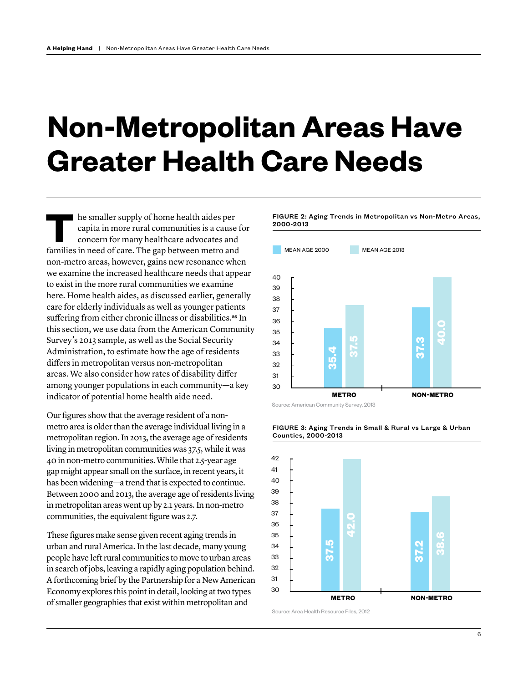## **Non-Metropolitan Areas Have Greater Health Care Needs**

**T**he smaller supply of home health aides per capita in more rural communities is a cause for concern for many healthcare advocates and families in need of care. The gap between metro and non-metro areas, however, gains new resonance when we examine the increased healthcare needs that appear to exist in the more rural communities we examine here. Home health aides, as discussed earlier, generally care for elderly individuals as well as younger patients suffering from either chronic illness or disabilities.**[25](#page-18-6)** In this section, we use data from the American Community Survey's 2013 sample, as well as the Social Security Administration, to estimate how the age of residents differs in metropolitan versus non-metropolitan areas. We also consider how rates of disability differ among younger populations in each community—a key indicator of potential home health aide need.

Our figures show that the average resident of a nonmetro area is older than the average individual living in a metropolitan region. In 2013, the average age of residents living in metropolitan communities was 37.5, while it was 40 in non-metro communities. While that 2.5-year age gap might appear small on the surface, in recent years, it has been widening—a trend that is expected to continue. Between 2000 and 2013, the average age of residents living in metropolitan areas went up by 2.1 years. In non-metro communities, the equivalent figure was 2.7.

These figures make sense given recent aging trends in urban and rural America. In the last decade, many young people have left rural communities to move to urban areas in search of jobs, leaving a rapidly aging population behind. A forthcoming brief by the Partnership for a New American Economy explores this point in detail, looking at two types of smaller geographies that exist within metropolitan and

FIGURE 2: Aging Trends in Metropolitan vs Non-Metro Areas, 2000-2013







#### FIGURE 3: Aging Trends in Small & Rural vs Large & Urban Counties, 2000-2013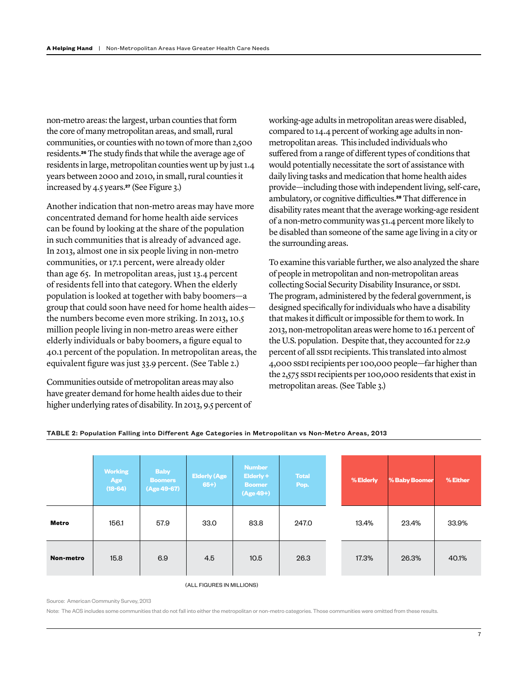non-metro areas: the largest, urban counties that form the core of many metropolitan areas, and small, rural communities, or counties with no town of more than 2,500 residents.**[26](#page-18-7)** The study finds that while the average age of residents in large, metropolitan counties went up by just 1.4 years between 2000 and 2010, in small, rural counties it increased by 4.5 years.**[27](#page-18-8)** (See Figure 3.)

Another indication that non-metro areas may have more concentrated demand for home health aide services can be found by looking at the share of the population in such communities that is already of advanced age. In 2013, almost one in six people living in non-metro communities, or 17.1 percent, were already older than age 65. In metropolitan areas, just 13.4 percent of residents fell into that category. When the elderly population is looked at together with baby boomers—a group that could soon have need for home health aides the numbers become even more striking. In 2013, 10.5 million people living in non-metro areas were either elderly individuals or baby boomers, a figure equal to 40.1 percent of the population. In metropolitan areas, the equivalent figure was just 33.9 percent. (See Table 2.)

Communities outside of metropolitan areas may also have greater demand for home health aides due to their higher underlying rates of disability. In 2013, 9.5 percent of working-age adults in metropolitan areas were disabled, compared to 14.4 percent of working age adults in nonmetropolitan areas. This included individuals who suffered from a range of different types of conditions that would potentially necessitate the sort of assistance with daily living tasks and medication that home health aides provide—including those with independent living, self-care, ambulatory, or cognitive difficulties.**[28](#page-18-9)** That difference in disability rates meant that the average working-age resident of a non-metro community was 51.4 percent more likely to be disabled than someone of the same age living in a city or the surrounding areas.

To examine this variable further, we also analyzed the share of people in metropolitan and non-metropolitan areas collecting Social Security Disability Insurance, or SSDI. The program, administered by the federal government, is designed specifically for individuals who have a disability that makes it difficult or impossible for them to work. In 2013, non-metropolitan areas were home to 16.1 percent of the U.S. population. Despite that, they accounted for 22.9 percent of all SSDI recipients. This translated into almost 4,000 SSDI recipients per 100,000 people—far higher than the 2,575 SSDI recipients per 100,000 residents that exist in metropolitan areas. (See Table 3.)

|           | <b>Working</b><br>Age<br>$(18-64)$ | <b>Baby</b><br><b>Boomers</b><br>(Age 49-67) | <b>Elderly (Age</b><br>$65+$ | <b>Number</b><br>Elderly +<br><b>Boomer</b><br>$(Age 49+)$ | <b>Total</b><br>Pop. | % Elderly | % Baby Boomer | % Either |
|-----------|------------------------------------|----------------------------------------------|------------------------------|------------------------------------------------------------|----------------------|-----------|---------------|----------|
| Metro     | 156.1                              | 57.9                                         | 33.0                         | 83.8                                                       | 247.0                | 13.4%     | 23.4%         | 33.9%    |
| Non-metro | 15.8                               | 6.9                                          | 4.5                          | 10.5                                                       | 26.3                 | 17.3%     | 26.3%         | 40.1%    |

#### TABLE 2: Population Falling into Different Age Categories in Metropolitan vs Non-Metro Areas, 2013

(ALL FIGURES IN MILLIONS)

#### Source: American Community Survey, 2013

Note: The ACS includes some communities that do not fall into either the metropolitan or non-metro categories. Those communities were omitted from these results.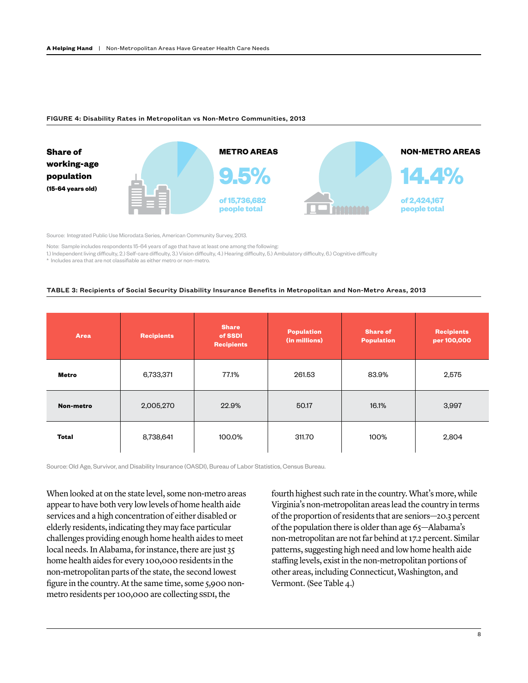#### FIGURE 4: Disability Rates in Metropolitan vs Non-Metro Communities, 2013



Source: Integrated Public Use Microdata Series, American Community Survey, 2013.

Note: Sample includes respondents 15-64 years of age that have at least one among the following:

1.) Independent living difficulty, 2.) Self-care difficulty, 3.) Vision difficulty, 4.) Hearing difficulty, 5.) Ambulatory difficulty, 6.) Cognitive difficulty

\* Includes area that are not classifiable as either metro or non-metro.

#### TABLE 3: Recipients of Social Security Disability Insurance Benefits in Metropolitan and Non-Metro Areas, 2013

| <b>Area</b>  | <b>Recipients</b> | <b>Share</b><br>of SSDI<br><b>Recipients</b> | <b>Population</b><br>(in millions) | <b>Share of</b><br><b>Population</b> | <b>Recipients</b><br>per 100,000 |  |
|--------------|-------------------|----------------------------------------------|------------------------------------|--------------------------------------|----------------------------------|--|
| Metro        | 6,733,371         | 77.1%                                        | 261.53                             | 83.9%                                | 2,575                            |  |
| Non-metro    | 2,005,270         | 22.9%                                        | 50.17                              | 16.1%                                | 3,997                            |  |
| <b>Total</b> | 8,738,641         | 100.0%                                       | 311.70                             | 100%                                 | 2,804                            |  |

Source: Old Age, Survivor, and Disability Insurance (OASDI), Bureau of Labor Statistics, Census Bureau.

When looked at on the state level, some non-metro areas appear to have both very low levels of home health aide services and a high concentration of either disabled or elderly residents, indicating they may face particular challenges providing enough home health aides to meet local needs. In Alabama, for instance, there are just 35 home health aides for every 100,000 residents in the non-metropolitan parts of the state, the second lowest figure in the country. At the same time, some 5,900 nonmetro residents per 100,000 are collecting SSDI, the

fourth highest such rate in the country. What's more, while Virginia's non-metropolitan areas lead the country in terms of the proportion of residents that are seniors—20.3 percent of the population there is older than age 65—Alabama's non-metropolitan are not far behind at 17.2 percent. Similar patterns, suggesting high need and low home health aide staffing levels, exist in the non-metropolitan portions of other areas, including Connecticut, Washington, and Vermont. (See Table 4.)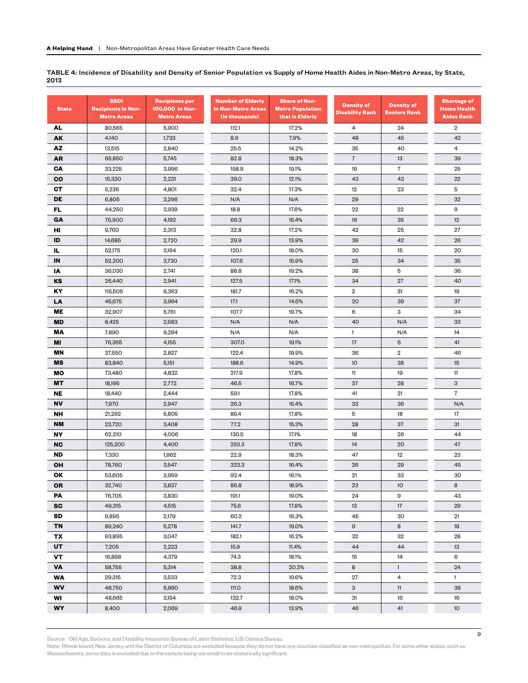TABLE 4: Incidence of Disability and Density of Senior Population vs Supply of Home Health Aides in Non-Metro Areas, by State, 2013

| <b>State</b> | <b>SSDI</b><br><b>Recipients in Non-</b><br><b>Metro Areas</b> | <b>Recipients per</b><br>100,000 in Non-<br><b>Metro Areas</b> | <b>Number of Elderly</b><br>in Non-Metro Areas<br>(in thousands) | <b>Share of Non-</b><br><b>Metro Population</b><br>that is Elderly | <b>Density of</b><br><b>Disability Rank</b> | <b>Density of</b><br><b>Seniors Rank</b> | <b>Shortage of</b><br><b>Home Health</b><br><b>Aides Rank</b> |
|--------------|----------------------------------------------------------------|----------------------------------------------------------------|------------------------------------------------------------------|--------------------------------------------------------------------|---------------------------------------------|------------------------------------------|---------------------------------------------------------------|
| AL           | 80,565                                                         | 5,900                                                          | 112.1                                                            | 17.2%                                                              | 4                                           | 24                                       | $\overline{2}$                                                |
| AK           | 4,140                                                          | 1,733                                                          | 8.9                                                              | 7.9%                                                               | 48                                          | 45                                       | 42                                                            |
| AZ           | 13,515                                                         | 2,840                                                          | 25.5                                                             | 14.2%                                                              | 35                                          | 40                                       | $\overline{4}$                                                |
| AR           | 65,850                                                         | 5,745                                                          | 82.8                                                             | 18.3%                                                              | $\overline{7}$                              | 13                                       | 39                                                            |
| CA           | 33,225                                                         | 3,996                                                          | 158.9                                                            | 19.1%                                                              | 19                                          | $\overline{7}$                           | 25                                                            |
| <b>CO</b>    | 15,330                                                         | 2,231                                                          | 39.0                                                             | 12.1%                                                              | 43                                          | 43                                       | 22                                                            |
| <b>CT</b>    | 5,236                                                          | 4,801                                                          | 32.4                                                             | 17.3%                                                              | 12                                          | 23                                       | 5                                                             |
| DE           | 6,805                                                          | 3,296                                                          | N/A                                                              | N/A                                                                | 29                                          |                                          | 32                                                            |
| FL.          | 44,250                                                         | 3,939                                                          | 18.8                                                             | 17.6%                                                              | 22                                          | 22                                       | 9                                                             |
| GA           | 76,900                                                         | 4,192                                                          | 66.3                                                             | 15.4%                                                              | 16                                          | 35                                       | 12                                                            |
| HI           | 9,760                                                          | 2,313                                                          | 32.8                                                             | 17.2%                                                              | 42                                          | 25                                       | 27                                                            |
| ID           | 14,685                                                         | 2,720                                                          | 29.9                                                             | 13.9%                                                              | 39                                          | 42                                       | 26                                                            |
| IL.          | 52,175                                                         | 3,164                                                          | 120.1                                                            | 18.0%                                                              | 30                                          | 15                                       | 20                                                            |
| IN           | 52,200                                                         | 3,730                                                          | 107.6                                                            | 15.9%                                                              | 25                                          | 34                                       | 35                                                            |
| IA           | 36,030                                                         | 2,741                                                          | 88.8                                                             | 19.2%                                                              | 38                                          | 5                                        | 36                                                            |
| KS           | 26,440                                                         | 2,941                                                          | 127.5                                                            | 17.1%                                                              | 34                                          | 27                                       | 40                                                            |
| ΚY           | 115,505                                                        | 6,363                                                          | 181.7                                                            | 16.2%                                                              | $\overline{2}$                              | 31                                       | 19                                                            |
| LA           | 45,675                                                         | 3,964                                                          | 17.1                                                             | 14.6%                                                              | 20                                          | 39                                       | 37                                                            |
| ME           | 32,907                                                         | 5,761                                                          | 107.7                                                            | 19.7%                                                              | 6                                           | 3                                        | 34                                                            |
| <b>MD</b>    | 8,425                                                          | 2,683                                                          | N/A                                                              | N/A                                                                | 40                                          | N/A                                      | 33                                                            |
| ΜA           | 7,890                                                          | 9,284                                                          | N/A                                                              | N/A                                                                | $\mathbf{1}$                                | N/A                                      | 14                                                            |
| MI           | 76,365                                                         | 4,155                                                          | 307.0                                                            | 19.1%                                                              | 17                                          | 6                                        | 41                                                            |
| <b>MN</b>    | 37,550                                                         | 2,827                                                          | 122.4                                                            | 19.9%                                                              | 36                                          | $\overline{2}$                           | 46                                                            |
| MS           | 83,840                                                         | 5,151                                                          | 188.6                                                            | 14.9%                                                              | 10                                          | 38                                       | 15                                                            |
| MО           | 73,480                                                         | 4,832                                                          | 217.9                                                            | 17.8%                                                              | 11                                          | 19                                       | 11                                                            |
| <b>MT</b>    | 18,195                                                         | 2,772                                                          | 46.5                                                             | 16.7%                                                              | 37                                          | 28                                       | 3                                                             |
| <b>NE</b>    | 18,440                                                         | 2,444                                                          | 59.1                                                             | 17.8%                                                              | 41                                          | 21                                       | $\overline{7}$                                                |
| <b>NV</b>    | 7,970                                                          | 2,947                                                          | 26.3                                                             | 15.4%                                                              | 33                                          | 36                                       | N/A                                                           |
| NΗ           | 21,292                                                         | 5,805                                                          | 85.4                                                             | 17.8%                                                              | 5                                           | 18                                       | 17                                                            |
| <b>NM</b>    | 23,720                                                         | 3,408                                                          | 77.2                                                             | 15.3%                                                              | 28                                          | 37                                       | 31                                                            |
| NΥ           | 62,210                                                         | 4,006                                                          | 130.5                                                            | 17.1%                                                              | 18                                          | 26                                       | 44                                                            |
| <b>NC</b>    | 125,200                                                        | 4,400                                                          | 253.3                                                            | 17.8%                                                              | 14                                          | 20                                       | 47                                                            |
| <b>ND</b>    | 7,330                                                          | 1,962                                                          | 22.9                                                             | 18.3%                                                              | 47                                          | 12                                       | 23                                                            |
| OН           | 78,760                                                         | 3,547                                                          | 323.3                                                            | 16.4%                                                              | 26                                          | 29                                       | 45                                                            |
| ОΚ           | 53,605                                                         | 3,959                                                          | 92.4                                                             | 16.1%                                                              | 21                                          | 33                                       | 30                                                            |
| <b>OR</b>    | 32,740                                                         | 3,837                                                          | 86.8                                                             | 18.9%                                                              | 23                                          | 10                                       | 8                                                             |
| PA           | 76,705                                                         | 3,830                                                          | 191.1                                                            | 19.0%                                                              | 24                                          | 9                                        | 43                                                            |
| <b>SC</b>    | 49,315                                                         | 4,515                                                          | 75.6                                                             | 17.8%                                                              | 13                                          | 17                                       | 29                                                            |
| SD           | 9,895                                                          | 2,179                                                          | 60.2                                                             | 16.3%                                                              | 45                                          | 30                                       | 21                                                            |
| TN           | 89,240                                                         | 5,278                                                          | 141.7                                                            | 19.0%                                                              | 9                                           | 8                                        | 18                                                            |
| TX           | 93,895                                                         | 3,047                                                          | 182.1                                                            | 16.2%                                                              | 32                                          | 32                                       | 28                                                            |
| UT           | 7,205                                                          | 2,223                                                          | 15.9                                                             | 11.4%                                                              | 44                                          | 44                                       | 13                                                            |
| VT           | 16,898                                                         | 4,379                                                          | 74.3                                                             | 18.1%                                                              | 15                                          | 14                                       | 6                                                             |
| <b>VA</b>    | 58,755                                                         | 5,314                                                          | 38.8                                                             | 20.3%                                                              | 8                                           | $\mathbf{1}$                             | 24                                                            |
| <b>WA</b>    | 29,315                                                         | 3,533                                                          | 72.3                                                             | 19.6%                                                              | 27                                          | 4                                        | $\mathbf{1}$                                                  |
| WV           | 48,750                                                         | 5,990                                                          | 111.0                                                            | 18.6%                                                              | 3                                           | 11                                       | 38                                                            |
| WI           | 48,665                                                         | 3,154                                                          | 132.7                                                            | 18.0%                                                              | 31                                          | 16                                       | 16                                                            |
| WY           | 8,400                                                          | 2,069                                                          | 46.9                                                             | 13.9%                                                              | 46                                          | 41                                       | 10 <sup>°</sup>                                               |

Source: Old Age, Surivors, and Disability Insurance; Bureau of Labor Statistics; U.S. Census Bureau.

Note: Rhode Island, New Jersey, and the District of Columbia are excluded because they do not have any counties classified as non-metropolitan. For some other states, such as Massachusetts, some data is excluded due to the sample being too small to be statistically significant.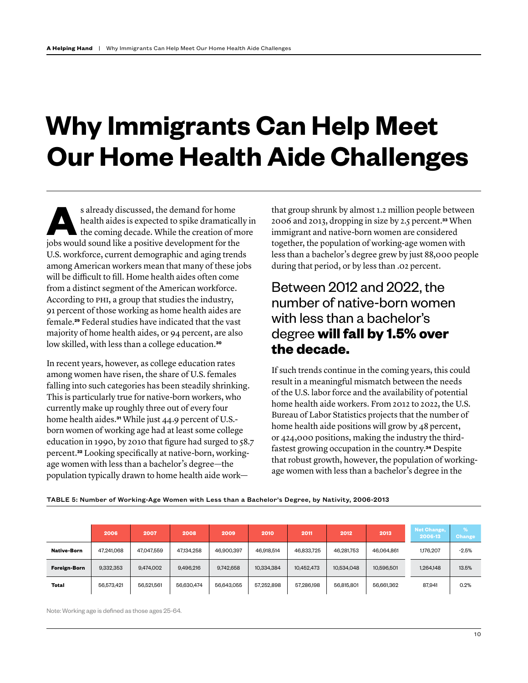## **Why Immigrants Can Help Meet Our Home Health Aide Challenges**

s already discussed, the demand for home<br>health aides is expected to spike dramatica<br>the coming decade. While the creation of n<br>is be would sound like a positive days amont for the health aides is expected to spike dramatically in the coming decade. While the creation of more jobs would sound like a positive development for the U.S. workforce, current demographic and aging trends among American workers mean that many of these jobs will be difficult to fill. Home health aides often come from a distinct segment of the American workforce. According to PHI, a group that studies the industry, 91 percent of those working as home health aides are female.**[29](#page-18-10)** Federal studies have indicated that the vast majority of home health aides, or 94 percent, are also low skilled, with less than a college education.**[30](#page-18-11)**

In recent years, however, as college education rates among women have risen, the share of U.S. females falling into such categories has been steadily shrinking. This is particularly true for native-born workers, who currently make up roughly three out of every four home health aides.**[31](#page-18-12)** While just 44.9 percent of U.S. born women of working age had at least some college education in 1990, by 2010 that figure had surged to 58.7 percent.**[32](#page-18-13)** Looking specifically at native-born, workingage women with less than a bachelor's degree—the population typically drawn to home health aide workthat group shrunk by almost 1.2 million people between 2006 and 2013, dropping in size by 2.5 percent.**[33](#page-18-14)** When immigrant and native-born women are considered together, the population of working-age women with less than a bachelor's degree grew by just 88,000 people during that period, or by less than .02 percent.

## Between 2012 and 2022, the number of native-born women with less than a bachelor's degree **will fall by 1.5% over the decade.**

If such trends continue in the coming years, this could result in a meaningful mismatch between the needs of the U.S. labor force and the availability of potential home health aide workers. From 2012 to 2022, the U.S. Bureau of Labor Statistics projects that the number of home health aide positions will grow by 48 percent, or 424,000 positions, making the industry the thirdfastest growing occupation in the country.**[34](#page-18-15)** Despite that robust growth, however, the population of workingage women with less than a bachelor's degree in the

TABLE 5: Number of Working-Age Women with Less than a Bachelor's Degree, by Nativity, 2006-2013

|                     | 2006       | 2007       | 2008       | 2009       | 2010       | 2011       | 2012       | 2013       | Net Change,<br>2006-13 | Change  |
|---------------------|------------|------------|------------|------------|------------|------------|------------|------------|------------------------|---------|
| <b>Native-Born</b>  | 47,241,068 | 47,047,559 | 47,134,258 | 46,900,397 | 46,918,514 | 46.833.725 | 46,281,753 | 46.064.861 | 1,176,207              | $-2.5%$ |
| <b>Foreign-Born</b> | 9,332,353  | 9,474,002  | 9,496,216  | 9,742,658  | 10,334,384 | 10,452,473 | 10,534,048 | 10,596,501 | 1,264,148              | 13.5%   |
| <b>Total</b>        | 56,573,421 | 56,521,561 | 56.630.474 | 56,643,055 | 57,252,898 | 57,286,198 | 56,815,801 | 56,661,362 | 87,941                 | 0.2%    |

Note: Working age is defined as those ages 25-64.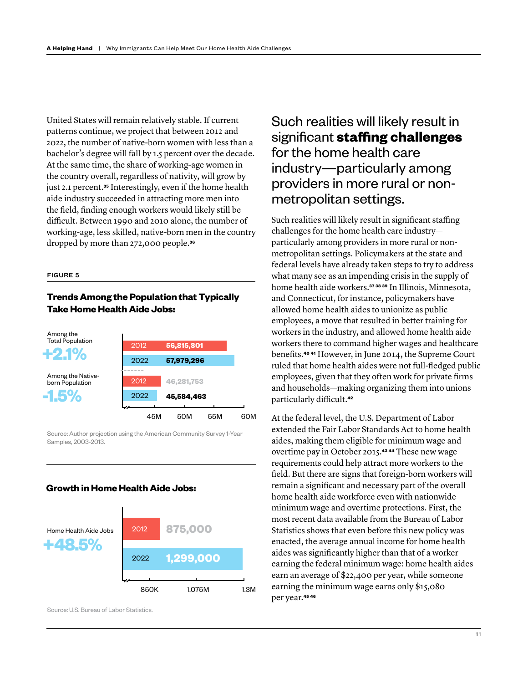United States will remain relatively stable. If current patterns continue, we project that between 2012 and 2022, the number of native-born women with less than a bachelor's degree will fall by 1.5 percent over the decade. At the same time, the share of working-age women in the country overall, regardless of nativity, will grow by just 2.1 percent.**[35](#page-18-16)** Interestingly, even if the home health aide industry succeeded in attracting more men into the field, finding enough workers would likely still be difficult. Between 1990 and 2010 alone, the number of working-age, less skilled, native-born men in the country dropped by more than 272,000 people.**[36](#page-18-17)**

#### FIGURE 5

#### **Trends Among the Population that Typically Take Home Health Aide Jobs:**



Source: Author projection using the American Community Survey 1-Year Samples, 2003-2013.

#### **Growth in Home Health Aide Jobs:**



Source: U.S. Bureau of Labor Statistics.

## Such realities will likely result in significant **staffing challenges** for the home health care industry—particularly among providers in more rural or nonmetropolitan settings.

Such realities will likely result in significant staffing challenges for the home health care industry particularly among providers in more rural or nonmetropolitan settings. Policymakers at the state and federal levels have already taken steps to try to address what many see as an impending crisis in the supply of home health aide workers.**[37](#page-18-18) [38](#page-19-0) [39](#page-19-1)** In Illinois, Minnesota, and Connecticut, for instance, policymakers have allowed home health aides to unionize as public employees, a move that resulted in better training for workers in the industry, and allowed home health aide workers there to command higher wages and healthcare benefits.**[40](#page-19-2) [41](#page-19-3)** However, in June 2014, the Supreme Court ruled that home health aides were not full-fledged public employees, given that they often work for private firms and households—making organizing them into unions particularly difficult.**[42](#page-19-4)**

At the federal level, the U.S. Department of Labor extended the Fair Labor Standards Act to home health aides, making them eligible for minimum wage and overtime pay in October 2015.**[43](#page-19-5) [44](#page-19-6)** These new wage requirements could help attract more workers to the field. But there are signs that foreign-born workers will remain a significant and necessary part of the overall home health aide workforce even with nationwide minimum wage and overtime protections. First, the most recent data available from the Bureau of Labor Statistics shows that even before this new policy was enacted, the average annual income for home health aides was significantly higher than that of a worker earning the federal minimum wage: home health aides earn an average of \$22,400 per year, while someone earning the minimum wage earns only \$15,080 per year.**[45](#page-19-7) [46](#page-19-8)**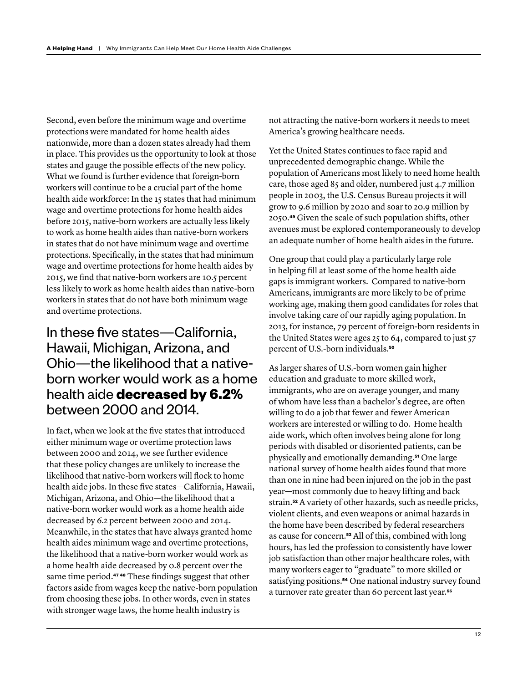Second, even before the minimum wage and overtime protections were mandated for home health aides nationwide, more than a dozen states already had them in place. This provides us the opportunity to look at those states and gauge the possible effects of the new policy. What we found is further evidence that foreign-born workers will continue to be a crucial part of the home health aide workforce: In the 15 states that had minimum wage and overtime protections for home health aides before 2015, native-born workers are actually less likely to work as home health aides than native-born workers in states that do not have minimum wage and overtime protections. Specifically, in the states that had minimum wage and overtime protections for home health aides by 2015, we find that native-born workers are 10.5 percent less likely to work as home health aides than native-born workers in states that do not have both minimum wage and overtime protections.

## In these five states—California, Hawaii, Michigan, Arizona, and Ohio—the likelihood that a nativeborn worker would work as a home health aide **decreased by 6.2%** between 2000 and 2014.

In fact, when we look at the five states that introduced either minimum wage or overtime protection laws between 2000 and 2014, we see further evidence that these policy changes are unlikely to increase the likelihood that native-born workers will flock to home health aide jobs. In these five states—California, Hawaii, Michigan, Arizona, and Ohio—the likelihood that a native-born worker would work as a home health aide decreased by 6.2 percent between 2000 and 2014. Meanwhile, in the states that have always granted home health aides minimum wage and overtime protections, the likelihood that a native-born worker would work as a home health aide decreased by 0.8 percent over the same time period.**[47](#page-19-9) [48](#page-19-10)** These findings suggest that other factors aside from wages keep the native-born population from choosing these jobs. In other words, even in states with stronger wage laws, the home health industry is

not attracting the native-born workers it needs to meet America's growing healthcare needs.

Yet the United States continues to face rapid and unprecedented demographic change. While the population of Americans most likely to need home health care, those aged 85 and older, numbered just 4.7 million people in 2003, the U.S. Census Bureau projects it will grow to 9.6 million by 2020 and soar to 20.9 million by 2050.**[49](#page-19-11)** Given the scale of such population shifts, other avenues must be explored contemporaneously to develop an adequate number of home health aides in the future.

One group that could play a particularly large role in helping fill at least some of the home health aide gaps is immigrant workers. Compared to native-born Americans, immigrants are more likely to be of prime working age, making them good candidates for roles that involve taking care of our rapidly aging population. In 2013, for instance, 79 percent of foreign-born residents in the United States were ages  $25$  to  $64$ , compared to just  $57$ percent of U.S.-born individuals.**[50](#page-19-12)**

As larger shares of U.S.-born women gain higher education and graduate to more skilled work, immigrants, who are on average younger, and many of whom have less than a bachelor's degree, are often willing to do a job that fewer and fewer American workers are interested or willing to do. Home health aide work, which often involves being alone for long periods with disabled or disoriented patients, can be physically and emotionally demanding.**[51](#page-19-13)** One large national survey of home health aides found that more than one in nine had been injured on the job in the past year—most commonly due to heavy lifting and back strain.**[52](#page-19-14)** A variety of other hazards, such as needle pricks, violent clients, and even weapons or animal hazards in the home have been described by federal researchers as cause for concern.**[53](#page-19-15)** All of this, combined with long hours, has led the profession to consistently have lower job satisfaction than other major healthcare roles, with many workers eager to "graduate" to more skilled or satisfying positions.**[54](#page-19-16)** One national industry survey found a turnover rate greater than 60 percent last year.**[55](#page-19-17)**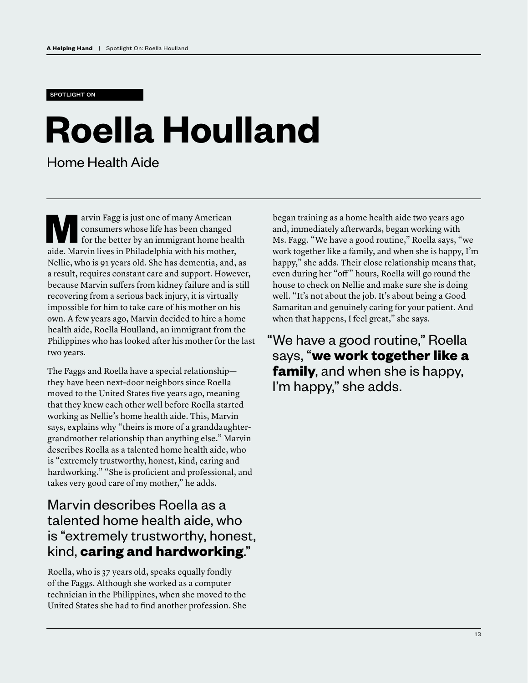#### SPOTLIGHT ON

# **Roella Houlland**

Home Health Aide

**Marvin Fagg is just one of many American<br>
consumers whose life has been changed<br>
for the better by an immigrant home hea<br>
aide Merrin lives in Philadelphia with his method** consumers whose life has been changed for the better by an immigrant home health aide. Marvin lives in Philadelphia with his mother, Nellie, who is 91 years old. She has dementia, and, as a result, requires constant care and support. However, because Marvin suffers from kidney failure and is still recovering from a serious back injury, it is virtually impossible for him to take care of his mother on his own. A few years ago, Marvin decided to hire a home health aide, Roella Houlland, an immigrant from the Philippines who has looked after his mother for the last two years.

The Faggs and Roella have a special relationship they have been next-door neighbors since Roella moved to the United States five years ago, meaning that they knew each other well before Roella started working as Nellie's home health aide. This, Marvin says, explains why "theirs is more of a granddaughtergrandmother relationship than anything else." Marvin describes Roella as a talented home health aide, who is "extremely trustworthy, honest, kind, caring and hardworking." "She is proficient and professional, and takes very good care of my mother," he adds.

### Marvin describes Roella as a talented home health aide, who is "extremely trustworthy, honest, kind, **caring and hardworking**."

Roella, who is 37 years old, speaks equally fondly of the Faggs. Although she worked as a computer technician in the Philippines, when she moved to the United States she had to find another profession. She began training as a home health aide two years ago and, immediately afterwards, began working with Ms. Fagg. "We have a good routine," Roella says, "we work together like a family, and when she is happy, I'm happy," she adds. Their close relationship means that, even during her "off" hours, Roella will go round the house to check on Nellie and make sure she is doing well. "It's not about the job. It's about being a Good Samaritan and genuinely caring for your patient. And when that happens, I feel great," she says.

"We have a good routine," Roella says, "**we work together like a family**, and when she is happy, I'm happy," she adds.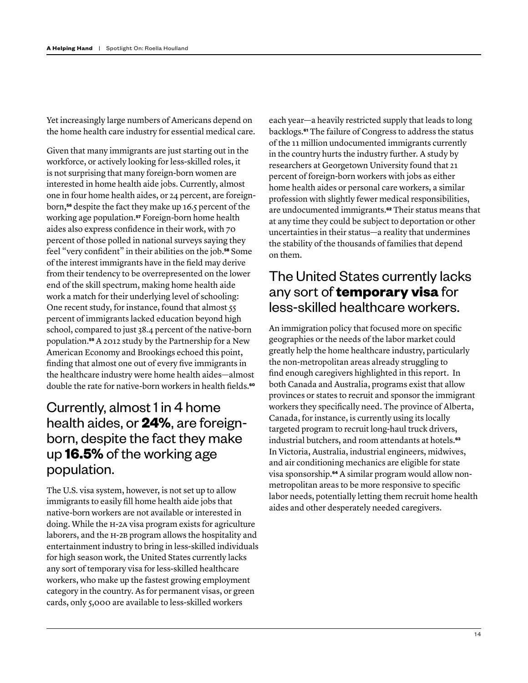Yet increasingly large numbers of Americans depend on the home health care industry for essential medical care.

Given that many immigrants are just starting out in the workforce, or actively looking for less-skilled roles, it is not surprising that many foreign-born women are interested in home health aide jobs. Currently, almost one in four home health aides, or 24 percent, are foreignborn,**[56](#page-19-18)** despite the fact they make up 16.5 percent of the working age population.**[57](#page-20-0)** Foreign-born home health aides also express confidence in their work, with 70 percent of those polled in national surveys saying they feel "very confident" in their abilities on the job.**[58](#page-20-1)** Some of the interest immigrants have in the field may derive from their tendency to be overrepresented on the lower end of the skill spectrum, making home health aide work a match for their underlying level of schooling: One recent study, for instance, found that almost 55 percent of immigrants lacked education beyond high school, compared to just 38.4 percent of the native-born population.**[59](#page-20-2)** A 2012 study by the Partnership for a New American Economy and Brookings echoed this point, finding that almost one out of every five immigrants in the healthcare industry were home health aides—almost double the rate for native-born workers in health fields.**[60](#page-20-3)**

## Currently, almost 1 in 4 home health aides, or **24%**, are foreignborn, despite the fact they make up **16.5%** of the working age population.

The U.S. visa system, however, is not set up to allow immigrants to easily fill home health aide jobs that native-born workers are not available or interested in doing. While the H-2A visa program exists for agriculture laborers, and the H-2B program allows the hospitality and entertainment industry to bring in less-skilled individuals for high season work, the United States currently lacks any sort of temporary visa for less-skilled healthcare workers, who make up the fastest growing employment category in the country. As for permanent visas, or green cards, only 5,000 are available to less-skilled workers

each year—a heavily restricted supply that leads to long backlogs.**[61](#page-20-4)** The failure of Congress to address the status of the 11 million undocumented immigrants currently in the country hurts the industry further. A study by researchers at Georgetown University found that 21 percent of foreign-born workers with jobs as either home health aides or personal care workers, a similar profession with slightly fewer medical responsibilities, are undocumented immigrants.**[62](#page-20-5)** Their status means that at any time they could be subject to deportation or other uncertainties in their status—a reality that undermines the stability of the thousands of families that depend on them.

## The United States currently lacks any sort of **temporary visa** for less-skilled healthcare workers.

An immigration policy that focused more on specific geographies or the needs of the labor market could greatly help the home healthcare industry, particularly the non-metropolitan areas already struggling to find enough caregivers highlighted in this report. In both Canada and Australia, programs exist that allow provinces or states to recruit and sponsor the immigrant workers they specifically need. The province of Alberta, Canada, for instance, is currently using its locally targeted program to recruit long-haul truck drivers, industrial butchers, and room attendants at hotels.**[63](#page-20-6)** In Victoria, Australia, industrial engineers, midwives, and air conditioning mechanics are eligible for state visa sponsorship.**[64](#page-20-7)** A similar program would allow nonmetropolitan areas to be more responsive to specific labor needs, potentially letting them recruit home health aides and other desperately needed caregivers.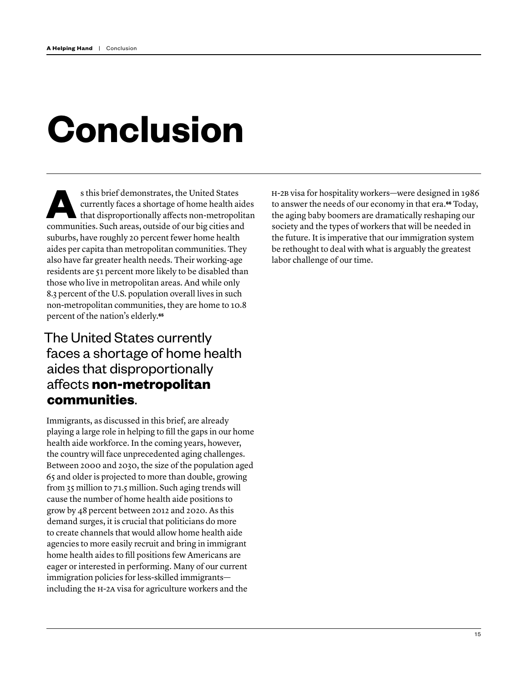# **Conclusion**

s this brief demonstrates, the United States<br>currently faces a shortage of home health air that disproportionally affects non-metropol currently faces a shortage of home health aides that disproportionally affects non-metropolitan communities. Such areas, outside of our big cities and suburbs, have roughly 20 percent fewer home health aides per capita than metropolitan communities. They also have far greater health needs. Their working-age residents are 51 percent more likely to be disabled than those who live in metropolitan areas. And while only 8.3 percent of the U.S. population overall lives in such non-metropolitan communities, they are home to 10.8 percent of the nation's elderly.**[65](#page-20-8)**

## The United States currently faces a shortage of home health aides that disproportionally affects **non-metropolitan communities**.

Immigrants, as discussed in this brief, are already playing a large role in helping to fill the gaps in our home health aide workforce. In the coming years, however, the country will face unprecedented aging challenges. Between 2000 and 2030, the size of the population aged 65 and older is projected to more than double, growing from 35 million to 71.5 million. Such aging trends will cause the number of home health aide positions to grow by 48 percent between 2012 and 2020. As this demand surges, it is crucial that politicians do more to create channels that would allow home health aide agencies to more easily recruit and bring in immigrant home health aides to fill positions few Americans are eager or interested in performing. Many of our current immigration policies for less-skilled immigrants including the H-2A visa for agriculture workers and the

H-2B visa for hospitality workers—were designed in 1986 to answer the needs of our economy in that era.**[66](#page-20-9)** Today, the aging baby boomers are dramatically reshaping our society and the types of workers that will be needed in the future. It is imperative that our immigration system be rethought to deal with what is arguably the greatest labor challenge of our time.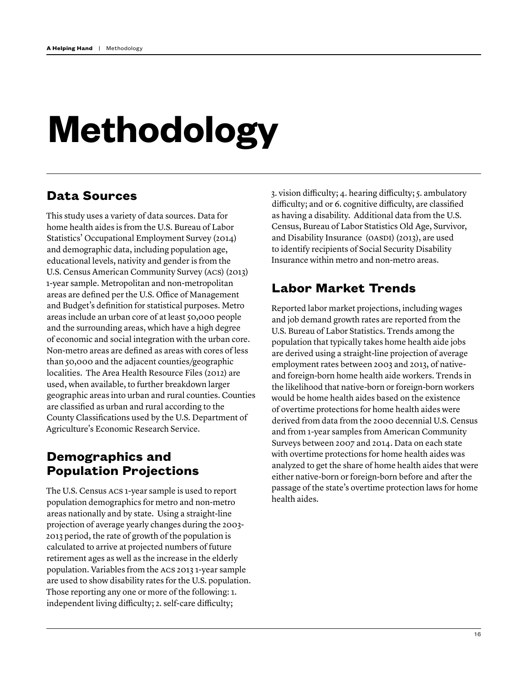# **Methodology**

### **Data Sources**

This study uses a variety of data sources. Data for home health aides is from the U.S. Bureau of Labor Statistics' Occupational Employment Survey (2014) and demographic data, including population age, educational levels, nativity and gender is from the U.S. Census American Community Survey (ACS) (2013) 1-year sample. Metropolitan and non-metropolitan areas are defined per the U.S. Office of Management and Budget's definition for statistical purposes. Metro areas include an urban core of at least 50,000 people and the surrounding areas, which have a high degree of economic and social integration with the urban core. Non-metro areas are defined as areas with cores of less than 50,000 and the adjacent counties/geographic localities. The Area Health Resource Files (2012) are used, when available, to further breakdown larger geographic areas into urban and rural counties. Counties are classified as urban and rural according to the County Classifications used by the U.S. Department of Agriculture's Economic Research Service.

### **Demographics and Population Projections**

The U.S. Census ACS 1-year sample is used to report population demographics for metro and non-metro areas nationally and by state. Using a straight-line projection of average yearly changes during the 2003- 2013 period, the rate of growth of the population is calculated to arrive at projected numbers of future retirement ages as well as the increase in the elderly population. Variables from the ACS 2013 1-year sample are used to show disability rates for the U.S. population. Those reporting any one or more of the following: 1. independent living difficulty; 2. self-care difficulty;

3. vision difficulty; 4. hearing difficulty; 5. ambulatory difficulty; and or 6. cognitive difficulty, are classified as having a disability. Additional data from the U.S. Census, Bureau of Labor Statistics Old Age, Survivor, and Disability Insurance (OASDI) (2013), are used to identify recipients of Social Security Disability Insurance within metro and non-metro areas.

## **Labor Market Trends**

Reported labor market projections, including wages and job demand growth rates are reported from the U.S. Bureau of Labor Statistics. Trends among the population that typically takes home health aide jobs are derived using a straight-line projection of average employment rates between 2003 and 2013, of nativeand foreign-born home health aide workers. Trends in the likelihood that native-born or foreign-born workers would be home health aides based on the existence of overtime protections for home health aides were derived from data from the 2000 decennial U.S. Census and from 1-year samples from American Community Surveys between 2007 and 2014. Data on each state with overtime protections for home health aides was analyzed to get the share of home health aides that were either native-born or foreign-born before and after the passage of the state's overtime protection laws for home health aides.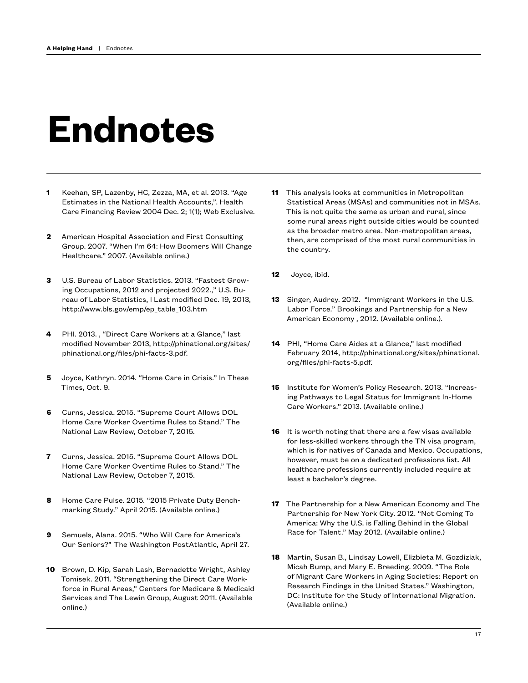# **Endnotes**

- <span id="page-17-0"></span>**1** Keehan, SP, Lazenby, HC, Zezza, MA, et al. 2013. "Age Estimates in the National Health Accounts,". Health Care Financing Review 2004 Dec. 2; 1(1); Web Exclusive.
- <span id="page-17-1"></span>**2** American Hospital Association and First Consulting Group. 2007. "When I'm 64: How Boomers Will Change Healthcare." 2007. (Available online.)
- <span id="page-17-2"></span>**3** U.S. Bureau of Labor Statistics. 2013. "Fastest Growing Occupations, 2012 and projected 2022.," U.S. Bureau of Labor Statistics, l Last modified Dec. 19, 2013, http://www.bls.gov/emp/ep\_table\_103.htm
- <span id="page-17-3"></span>**4** PHI. 2013. , "Direct Care Workers at a Glance," last modified November 2013, http://phinational.org/sites/ phinational.org/files/phi-facts-3.pdf.
- <span id="page-17-4"></span>**5** Joyce, Kathryn. 2014. "Home Care in Crisis." In These Times, Oct. 9.
- <span id="page-17-5"></span>**6** Curns, Jessica. 2015. "Supreme Court Allows DOL Home Care Worker Overtime Rules to Stand." The National Law Review, October 7, 2015.
- <span id="page-17-6"></span>**7** Curns, Jessica. 2015. "Supreme Court Allows DOL Home Care Worker Overtime Rules to Stand." The National Law Review, October 7, 2015.
- <span id="page-17-7"></span>**8** Home Care Pulse. 2015. "2015 Private Duty Benchmarking Study." April 2015. (Available online.)
- <span id="page-17-8"></span>**9** Semuels, Alana. 2015. "Who Will Care for America's Our Seniors?" The Washington PostAtlantic, April 27.
- <span id="page-17-9"></span>**10** Brown, D. Kip, Sarah Lash, Bernadette Wright, Ashley Tomisek. 2011. "Strengthening the Direct Care Workforce in Rural Areas," Centers for Medicare & Medicaid Services and The Lewin Group, August 2011. (Available online.)
- <span id="page-17-10"></span>**11** This analysis looks at communities in Metropolitan Statistical Areas (MSAs) and communities not in MSAs. This is not quite the same as urban and rural, since some rural areas right outside cities would be counted as the broader metro area. Non-metropolitan areas, then, are comprised of the most rural communities in the country.
- <span id="page-17-11"></span>**12** Joyce, ibid.
- <span id="page-17-12"></span>**13** Singer, Audrey. 2012. "Immigrant Workers in the U.S. Labor Force." Brookings and Partnership for a New American Economy , 2012. (Available online.).
- <span id="page-17-13"></span>**14** PHI, "Home Care Aides at a Glance," last modified February 2014, http://phinational.org/sites/phinational. org/files/phi-facts-5.pdf.
- <span id="page-17-14"></span>**15** Institute for Women's Policy Research. 2013. "Increasing Pathways to Legal Status for Immigrant In-Home Care Workers." 2013. (Available online.)
- <span id="page-17-15"></span>**16** It is worth noting that there are a few visas available for less-skilled workers through the TN visa program, which is for natives of Canada and Mexico. Occupations, however, must be on a dedicated professions list. All healthcare professions currently included require at least a bachelor's degree.
- <span id="page-17-16"></span>**17** The Partnership for a New American Economy and The Partnership for New York City. 2012. "Not Coming To America: Why the U.S. is Falling Behind in the Global Race for Talent." May 2012. (Available online.)
- <span id="page-17-17"></span>**18** Martin, Susan B., Lindsay Lowell, Elizbieta M. Gozdiziak, Micah Bump, and Mary E. Breeding. 2009. "The Role of Migrant Care Workers in Aging Societies: Report on Research Findings in the United States." Washington, DC: Institute for the Study of International Migration. (Available online.)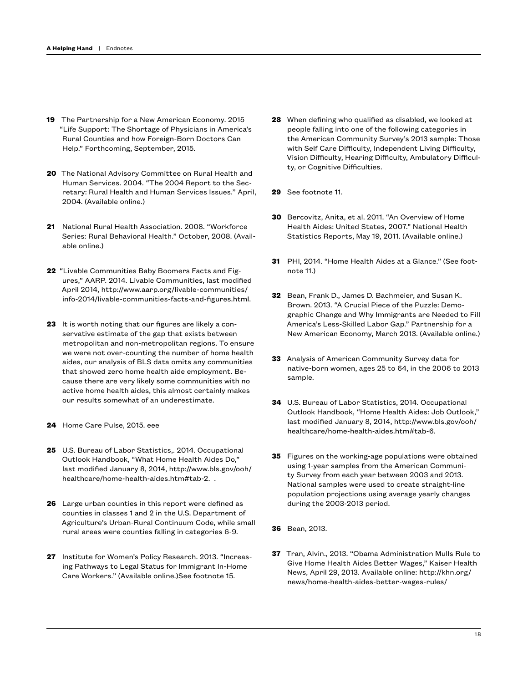- <span id="page-18-0"></span>**19** The Partnership for a New American Economy. 2015 "Life Support: The Shortage of Physicians in America's Rural Counties and how Foreign-Born Doctors Can Help." Forthcoming, September, 2015.
- <span id="page-18-1"></span>**20** The National Advisory Committee on Rural Health and Human Services. 2004. "The 2004 Report to the Secretary: Rural Health and Human Services Issues." April, 2004. (Available online.)
- <span id="page-18-2"></span>**21** National Rural Health Association. 2008. "Workforce Series: Rural Behavioral Health." October, 2008. (Available online.)
- <span id="page-18-3"></span>**22** "Livable Communities Baby Boomers Facts and Figures," AARP. 2014. Livable Communities, last modified April 2014, http://www.aarp.org/livable-communities/ info-2014/livable-communities-facts-and-figures.html.
- <span id="page-18-4"></span>**23** It is worth noting that our figures are likely a conservative estimate of the gap that exists between metropolitan and non-metropolitan regions. To ensure we were not over-counting the number of home health aides, our analysis of BLS data omits any communities that showed zero home health aide employment. Because there are very likely some communities with no active home health aides, this almost certainly makes our results somewhat of an underestimate.
- <span id="page-18-5"></span>**24** Home Care Pulse, 2015. eee
- <span id="page-18-6"></span>**25** U.S. Bureau of Labor Statistics,. 2014. Occupational Outlook Handbook, "What Home Health Aides Do," last modified January 8, 2014, http://www.bls.gov/ooh/ healthcare/home-health-aides.htm#tab-2. .
- <span id="page-18-7"></span>**26** Large urban counties in this report were defined as counties in classes 1 and 2 in the U.S. Department of Agriculture's Urban-Rural Continuum Code, while small rural areas were counties falling in categories 6-9.
- <span id="page-18-8"></span>**27** Institute for Women's Policy Research. 2013. "Increasing Pathways to Legal Status for Immigrant In-Home Care Workers." (Available online.)See footnote 15.
- <span id="page-18-9"></span>**28** When defining who qualified as disabled, we looked at people falling into one of the following categories in the American Community Survey's 2013 sample: Those with Self Care Difficulty, Independent Living Difficulty, Vision Difficulty, Hearing Difficulty, Ambulatory Difficulty, or Cognitive Difficulties.
- <span id="page-18-10"></span>**29** See footnote 11.
- <span id="page-18-11"></span>**30** Bercovitz, Anita, et al. 2011. "An Overview of Home Health Aides: United States, 2007." National Health Statistics Reports, May 19, 2011. (Available online.)
- <span id="page-18-12"></span>**31** PHI, 2014. "Home Health Aides at a Glance." (See footnote 11.)
- <span id="page-18-13"></span>**32** Bean, Frank D., James D. Bachmeier, and Susan K. Brown. 2013. "A Crucial Piece of the Puzzle: Demographic Change and Why Immigrants are Needed to Fill America's Less-Skilled Labor Gap." Partnership for a New American Economy, March 2013. (Available online.)
- <span id="page-18-14"></span>**33** Analysis of American Community Survey data for native-born women, ages 25 to 64, in the 2006 to 2013 sample.
- <span id="page-18-15"></span>**34** U.S. Bureau of Labor Statistics, 2014. Occupational Outlook Handbook, "Home Health Aides: Job Outlook," last modified January 8, 2014, http://www.bls.gov/ooh/ healthcare/home-health-aides.htm#tab-6.
- <span id="page-18-16"></span>**35** Figures on the working-age populations were obtained using 1-year samples from the American Community Survey from each year between 2003 and 2013. National samples were used to create straight-line population projections using average yearly changes during the 2003-2013 period.
- <span id="page-18-17"></span>**36** Bean, 2013.
- <span id="page-18-18"></span>**37** Tran, Alvin., 2013. "Obama Administration Mulls Rule to Give Home Health Aides Better Wages," Kaiser Health News, April 29, 2013. Available online: http://khn.org/ news/home-health-aides-better-wages-rules/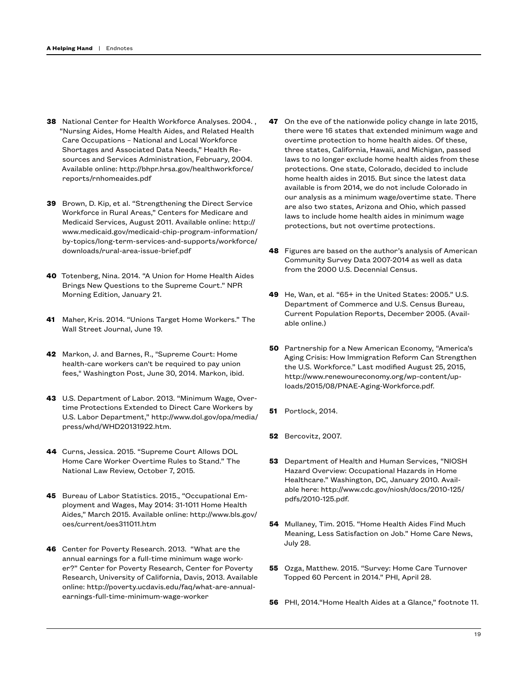- <span id="page-19-0"></span>**38** National Center for Health Workforce Analyses. 2004. , "Nursing Aides, Home Health Aides, and Related Health Care Occupations – National and Local Workforce Shortages and Associated Data Needs," Health Resources and Services Administration, February, 2004. Available online: http://bhpr.hrsa.gov/healthworkforce/ reports/rnhomeaides.pdf
- <span id="page-19-1"></span>**39** Brown, D. Kip, et al. "Strengthening the Direct Service Workforce in Rural Areas," Centers for Medicare and Medicaid Services, August 2011. Available online: http:// www.medicaid.gov/medicaid-chip-program-information/ by-topics/long-term-services-and-supports/workforce/ downloads/rural-area-issue-brief.pdf
- <span id="page-19-2"></span>**40** Totenberg, Nina. 2014. "A Union for Home Health Aides Brings New Questions to the Supreme Court." NPR Morning Edition, January 21.
- <span id="page-19-3"></span>**41** Maher, Kris. 2014. "Unions Target Home Workers." The Wall Street Journal, June 19.
- <span id="page-19-4"></span>**42** Markon, J. and Barnes, R., "Supreme Court: Home health-care workers can't be required to pay union fees," Washington Post, June 30, 2014. Markon, ibid.
- <span id="page-19-5"></span>**43** U.S. Department of Labor. 2013. "Minimum Wage, Overtime Protections Extended to Direct Care Workers by U.S. Labor Department," http://www.dol.gov/opa/media/ press/whd/WHD20131922.htm.
- <span id="page-19-6"></span>**44** Curns, Jessica. 2015. "Supreme Court Allows DOL Home Care Worker Overtime Rules to Stand." The National Law Review, October 7, 2015.
- <span id="page-19-7"></span>**45** Bureau of Labor Statistics. 2015., "Occupational Employment and Wages, May 2014: 31-1011 Home Health Aides," March 2015. Available online: http://www.bls.gov/ oes/current/oes311011.htm
- <span id="page-19-8"></span>**46** Center for Poverty Research. 2013. "What are the annual earnings for a full-time minimum wage worker?" Center for Poverty Research, Center for Poverty Research, University of California, Davis, 2013. Available online: http://poverty.ucdavis.edu/faq/what-are-annualearnings-full-time-minimum-wage-worker
- <span id="page-19-9"></span>**47** On the eve of the nationwide policy change in late 2015, there were 16 states that extended minimum wage and overtime protection to home health aides. Of these, three states, California, Hawaii, and Michigan, passed laws to no longer exclude home health aides from these protections. One state, Colorado, decided to include home health aides in 2015. But since the latest data available is from 2014, we do not include Colorado in our analysis as a minimum wage/overtime state. There are also two states, Arizona and Ohio, which passed laws to include home health aides in minimum wage protections, but not overtime protections.
- <span id="page-19-10"></span>**48** Figures are based on the author's analysis of American Community Survey Data 2007-2014 as well as data from the 2000 U.S. Decennial Census.
- <span id="page-19-11"></span>**49** He, Wan, et al. "65+ in the United States: 2005." U.S. Department of Commerce and U.S. Census Bureau, Current Population Reports, December 2005. (Available online.)
- <span id="page-19-12"></span>**50** Partnership for a New American Economy, "America's Aging Crisis: How Immigration Reform Can Strengthen the U.S. Workforce." Last modified August 25, 2015, http://www.renewoureconomy.org/wp-content/uploads/2015/08/PNAE-Aging-Workforce.pdf.
- <span id="page-19-13"></span>**51** Portlock, 2014.
- <span id="page-19-14"></span>**52** Bercovitz, 2007.
- <span id="page-19-15"></span>**53** Department of Health and Human Services, "NIOSH Hazard Overview: Occupational Hazards in Home Healthcare." Washington, DC, January 2010. Available here: http://www.cdc.gov/niosh/docs/2010-125/ pdfs/2010-125.pdf.
- <span id="page-19-16"></span>**54** Mullaney, Tim. 2015. "Home Health Aides Find Much Meaning, Less Satisfaction on Job." Home Care News, July 28.
- <span id="page-19-17"></span>**55** Ozga, Matthew. 2015. "Survey: Home Care Turnover Topped 60 Percent in 2014." PHI, April 28.
- <span id="page-19-18"></span>**56** PHI, 2014."Home Health Aides at a Glance," footnote 11.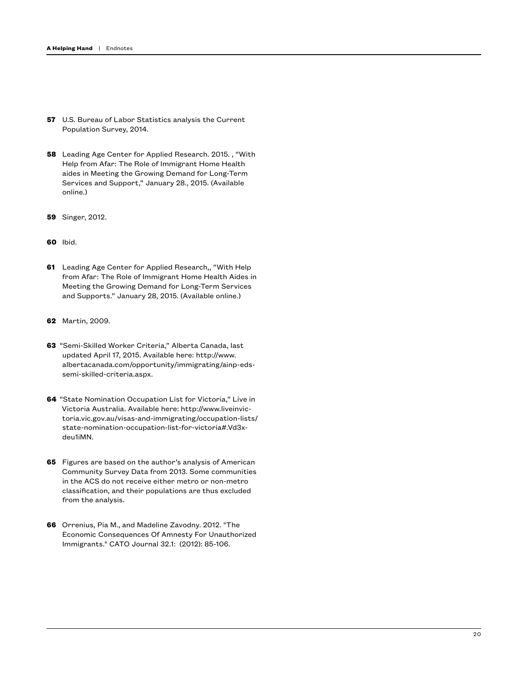- <span id="page-20-0"></span>**57** U.S. Bureau of Labor Statistics analysis the Current Population Survey, 2014.
- <span id="page-20-1"></span>**58** Leading Age Center for Applied Research. 2015. , "With Help from Afar: The Role of Immigrant Home Health aides in Meeting the Growing Demand for Long-Term Services and Support," January 28., 2015. (Available online.)
- <span id="page-20-2"></span>**59** Singer, 2012.
- <span id="page-20-3"></span>**60** Ibid.
- <span id="page-20-4"></span>**61** Leading Age Center for Applied Research,, "With Help from Afar: The Role of Immigrant Home Health Aides in Meeting the Growing Demand for Long-Term Services and Supports." January 28, 2015. (Available online.)
- <span id="page-20-5"></span>**62** Martin, 2009.
- <span id="page-20-6"></span>**63** "Semi-Skilled Worker Criteria," Alberta Canada, last updated April 17, 2015. Available here: http://www. albertacanada.com/opportunity/immigrating/ainp-edssemi-skilled-criteria.aspx.
- <span id="page-20-7"></span>**64** "State Nomination Occupation List for Victoria," Live in Victoria Australia. Available here: http://www.liveinvictoria.vic.gov.au/visas-and-immigrating/occupation-lists/ state-nomination-occupation-list-for-victoria#.Vd3xdeu1iMN.
- <span id="page-20-8"></span>**65** Figures are based on the author's analysis of American Community Survey Data from 2013. Some communities in the ACS do not receive either metro or non-metro classification, and their populations are thus excluded from the analysis.
- <span id="page-20-9"></span>**66** Orrenius, Pia M., and Madeline Zavodny. 2012. "The Economic Consequences Of Amnesty For Unauthorized Immigrants." CATO Journal 32.1: (2012): 85-106.